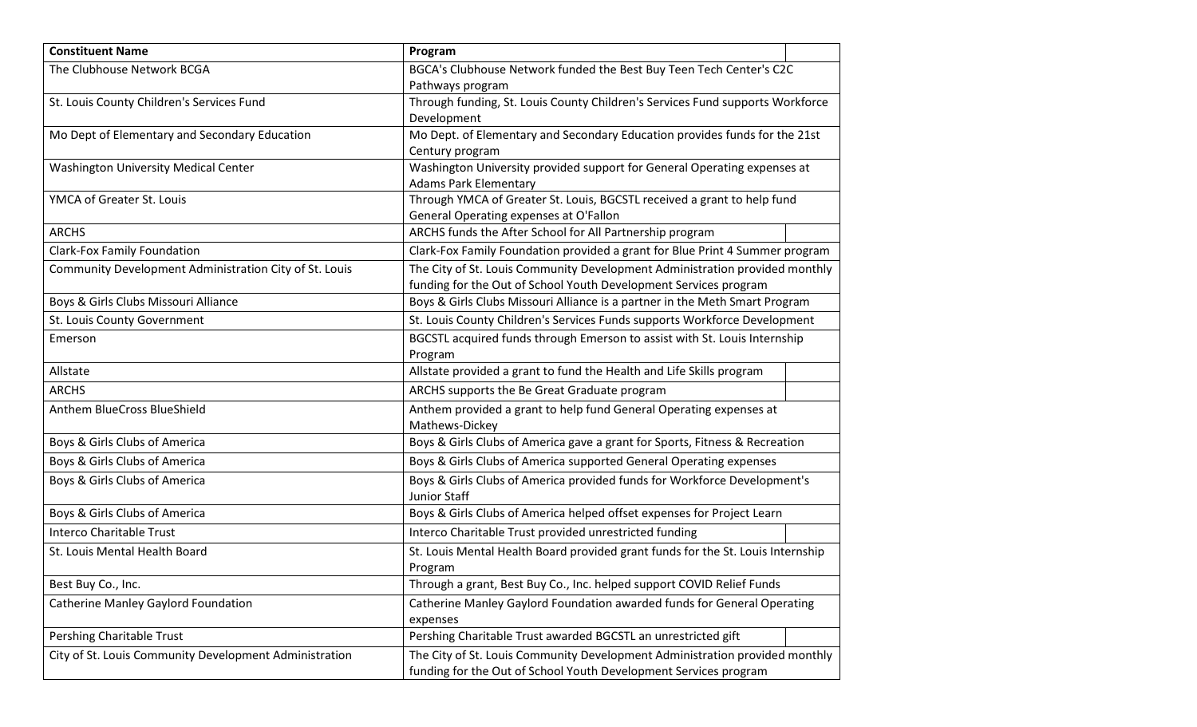| <b>Constituent Name</b>                                | Program                                                                         |
|--------------------------------------------------------|---------------------------------------------------------------------------------|
| The Clubhouse Network BCGA                             | BGCA's Clubhouse Network funded the Best Buy Teen Tech Center's C2C             |
|                                                        | Pathways program                                                                |
| St. Louis County Children's Services Fund              | Through funding, St. Louis County Children's Services Fund supports Workforce   |
|                                                        | Development                                                                     |
| Mo Dept of Elementary and Secondary Education          | Mo Dept. of Elementary and Secondary Education provides funds for the 21st      |
|                                                        | Century program                                                                 |
| <b>Washington University Medical Center</b>            | Washington University provided support for General Operating expenses at        |
|                                                        | <b>Adams Park Elementary</b>                                                    |
| YMCA of Greater St. Louis                              | Through YMCA of Greater St. Louis, BGCSTL received a grant to help fund         |
|                                                        | General Operating expenses at O'Fallon                                          |
| <b>ARCHS</b>                                           | ARCHS funds the After School for All Partnership program                        |
| <b>Clark-Fox Family Foundation</b>                     | Clark-Fox Family Foundation provided a grant for Blue Print 4 Summer program    |
| Community Development Administration City of St. Louis | The City of St. Louis Community Development Administration provided monthly     |
|                                                        | funding for the Out of School Youth Development Services program                |
| Boys & Girls Clubs Missouri Alliance                   | Boys & Girls Clubs Missouri Alliance is a partner in the Meth Smart Program     |
| St. Louis County Government                            | St. Louis County Children's Services Funds supports Workforce Development       |
| Emerson                                                | BGCSTL acquired funds through Emerson to assist with St. Louis Internship       |
|                                                        | Program                                                                         |
| Allstate                                               | Allstate provided a grant to fund the Health and Life Skills program            |
| <b>ARCHS</b>                                           | ARCHS supports the Be Great Graduate program                                    |
| Anthem BlueCross BlueShield                            | Anthem provided a grant to help fund General Operating expenses at              |
|                                                        | Mathews-Dickey                                                                  |
| Boys & Girls Clubs of America                          | Boys & Girls Clubs of America gave a grant for Sports, Fitness & Recreation     |
| Boys & Girls Clubs of America                          | Boys & Girls Clubs of America supported General Operating expenses              |
| Boys & Girls Clubs of America                          | Boys & Girls Clubs of America provided funds for Workforce Development's        |
|                                                        | Junior Staff                                                                    |
| Boys & Girls Clubs of America                          | Boys & Girls Clubs of America helped offset expenses for Project Learn          |
| <b>Interco Charitable Trust</b>                        | Interco Charitable Trust provided unrestricted funding                          |
| St. Louis Mental Health Board                          | St. Louis Mental Health Board provided grant funds for the St. Louis Internship |
|                                                        | Program                                                                         |
| Best Buy Co., Inc.                                     | Through a grant, Best Buy Co., Inc. helped support COVID Relief Funds           |
| Catherine Manley Gaylord Foundation                    | Catherine Manley Gaylord Foundation awarded funds for General Operating         |
|                                                        | expenses                                                                        |
| Pershing Charitable Trust                              | Pershing Charitable Trust awarded BGCSTL an unrestricted gift                   |
| City of St. Louis Community Development Administration | The City of St. Louis Community Development Administration provided monthly     |
|                                                        | funding for the Out of School Youth Development Services program                |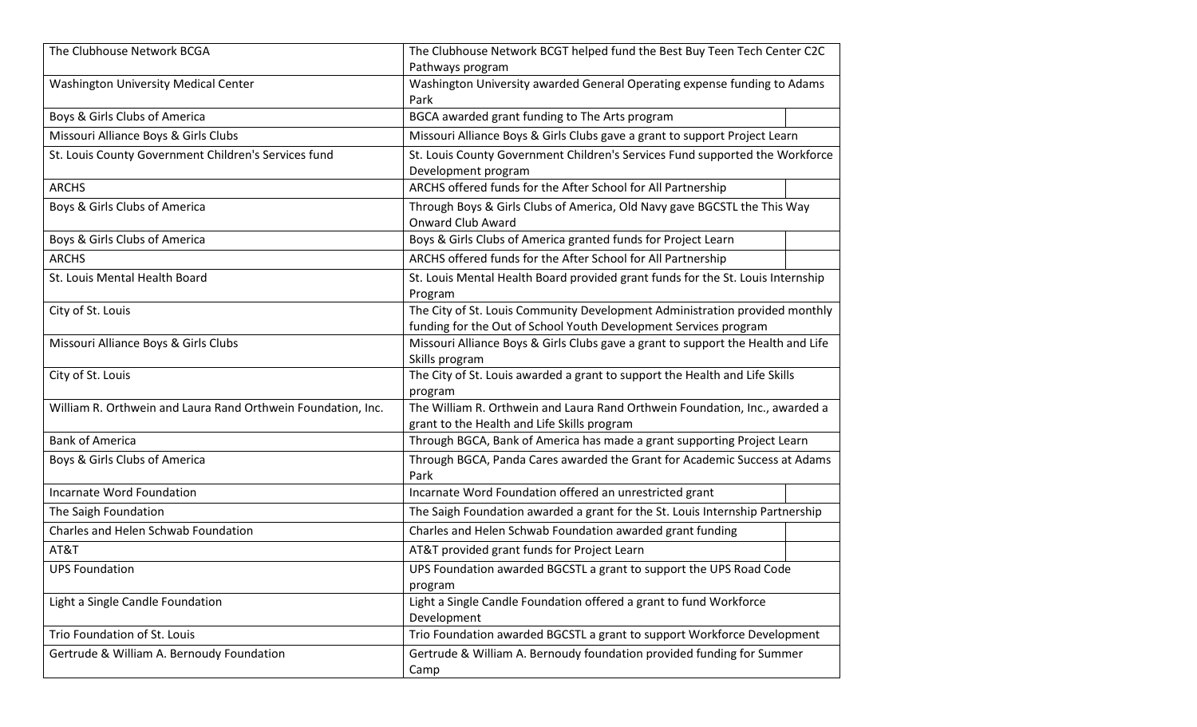| The Clubhouse Network BCGA                                   | The Clubhouse Network BCGT helped fund the Best Buy Teen Tech Center C2C         |  |
|--------------------------------------------------------------|----------------------------------------------------------------------------------|--|
|                                                              | Pathways program                                                                 |  |
| <b>Washington University Medical Center</b>                  | Washington University awarded General Operating expense funding to Adams         |  |
|                                                              | Park                                                                             |  |
| Boys & Girls Clubs of America                                | BGCA awarded grant funding to The Arts program                                   |  |
| Missouri Alliance Boys & Girls Clubs                         | Missouri Alliance Boys & Girls Clubs gave a grant to support Project Learn       |  |
| St. Louis County Government Children's Services fund         | St. Louis County Government Children's Services Fund supported the Workforce     |  |
|                                                              | Development program                                                              |  |
| <b>ARCHS</b>                                                 | ARCHS offered funds for the After School for All Partnership                     |  |
| Boys & Girls Clubs of America                                | Through Boys & Girls Clubs of America, Old Navy gave BGCSTL the This Way         |  |
|                                                              | <b>Onward Club Award</b>                                                         |  |
| Boys & Girls Clubs of America                                | Boys & Girls Clubs of America granted funds for Project Learn                    |  |
| <b>ARCHS</b>                                                 | ARCHS offered funds for the After School for All Partnership                     |  |
| St. Louis Mental Health Board                                | St. Louis Mental Health Board provided grant funds for the St. Louis Internship  |  |
|                                                              | Program                                                                          |  |
| City of St. Louis                                            | The City of St. Louis Community Development Administration provided monthly      |  |
|                                                              | funding for the Out of School Youth Development Services program                 |  |
| Missouri Alliance Boys & Girls Clubs                         | Missouri Alliance Boys & Girls Clubs gave a grant to support the Health and Life |  |
|                                                              | Skills program                                                                   |  |
| City of St. Louis                                            | The City of St. Louis awarded a grant to support the Health and Life Skills      |  |
|                                                              | program                                                                          |  |
| William R. Orthwein and Laura Rand Orthwein Foundation, Inc. | The William R. Orthwein and Laura Rand Orthwein Foundation, Inc., awarded a      |  |
|                                                              | grant to the Health and Life Skills program                                      |  |
| <b>Bank of America</b>                                       | Through BGCA, Bank of America has made a grant supporting Project Learn          |  |
| Boys & Girls Clubs of America                                | Through BGCA, Panda Cares awarded the Grant for Academic Success at Adams        |  |
|                                                              | Park                                                                             |  |
| Incarnate Word Foundation                                    | Incarnate Word Foundation offered an unrestricted grant                          |  |
| The Saigh Foundation                                         | The Saigh Foundation awarded a grant for the St. Louis Internship Partnership    |  |
| Charles and Helen Schwab Foundation                          | Charles and Helen Schwab Foundation awarded grant funding                        |  |
| AT&T                                                         | AT&T provided grant funds for Project Learn                                      |  |
| <b>UPS Foundation</b>                                        | UPS Foundation awarded BGCSTL a grant to support the UPS Road Code               |  |
|                                                              | program                                                                          |  |
| Light a Single Candle Foundation                             | Light a Single Candle Foundation offered a grant to fund Workforce               |  |
|                                                              | Development                                                                      |  |
| Trio Foundation of St. Louis                                 | Trio Foundation awarded BGCSTL a grant to support Workforce Development          |  |
| Gertrude & William A. Bernoudy Foundation                    | Gertrude & William A. Bernoudy foundation provided funding for Summer            |  |
|                                                              | Camp                                                                             |  |